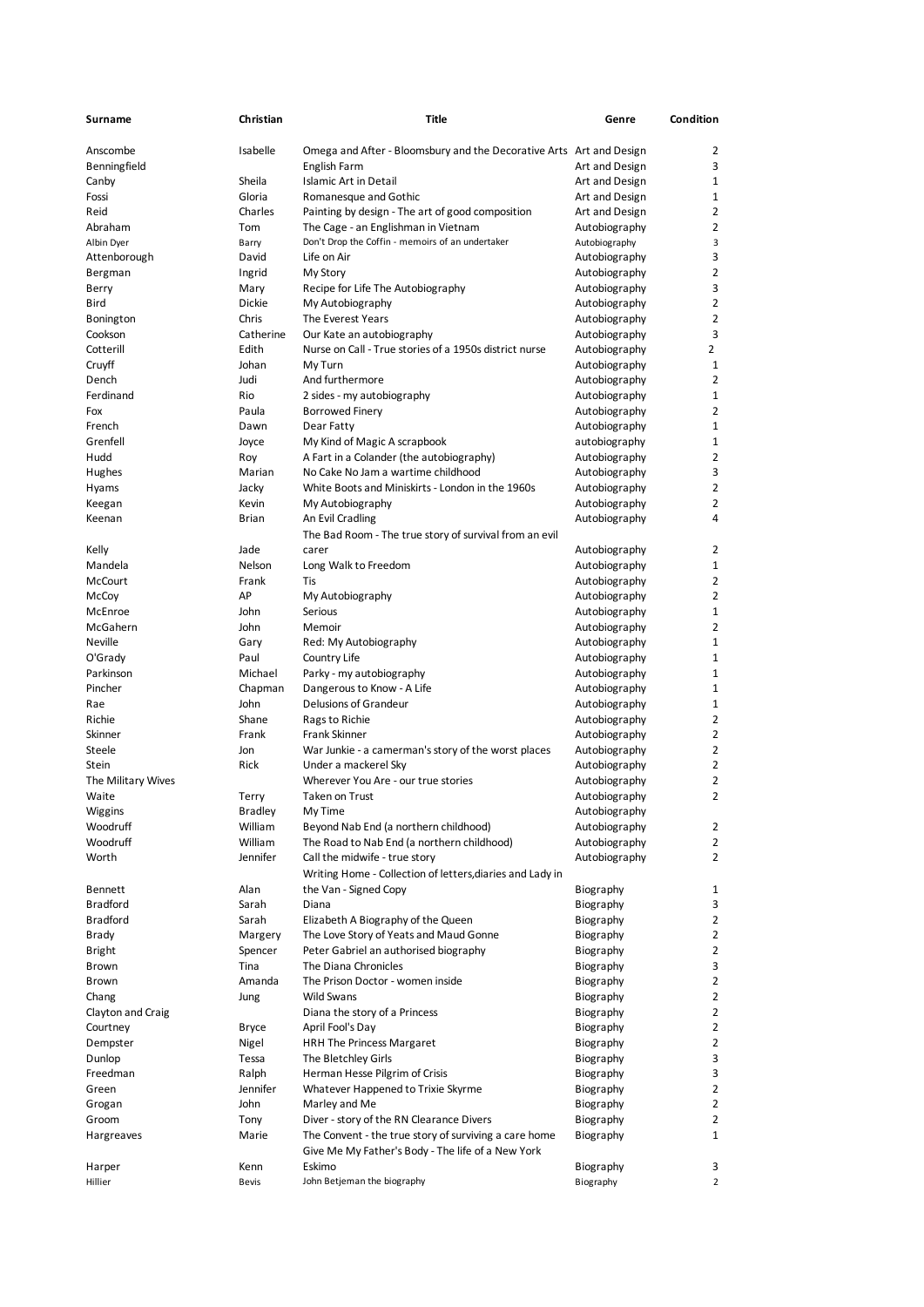| Surname                      | Christian         | Title                                                                           | Genre                          | Condition      |
|------------------------------|-------------------|---------------------------------------------------------------------------------|--------------------------------|----------------|
| Anscombe                     | Isabelle          | Omega and After - Bloomsbury and the Decorative Arts Art and Design             |                                | 2              |
| Benningfield                 |                   | English Farm                                                                    | Art and Design                 | 3              |
| Canby                        | Sheila            | Islamic Art in Detail                                                           | Art and Design                 | 1              |
| Fossi                        | Gloria            | Romanesque and Gothic                                                           | Art and Design                 | $\mathbf{1}$   |
| Reid                         | Charles           | Painting by design - The art of good composition                                | Art and Design                 | $\overline{2}$ |
| Abraham                      | Tom               | The Cage - an Englishman in Vietnam                                             | Autobiography                  | 2              |
| Albin Dyer                   | Barry             | Don't Drop the Coffin - memoirs of an undertaker                                | Autobiography                  | 3              |
| Attenborough                 | David             | Life on Air                                                                     | Autobiography                  | 3              |
| Bergman                      | Ingrid            | My Story                                                                        | Autobiography                  | $\overline{2}$ |
| Berry                        | Mary              | Recipe for Life The Autobiography                                               | Autobiography                  | 3              |
| Bird                         | <b>Dickie</b>     | My Autobiography                                                                | Autobiography                  | 2              |
| Bonington                    | Chris             | The Everest Years                                                               | Autobiography                  | 2              |
| Cookson                      | Catherine         | Our Kate an autobiography                                                       | Autobiography                  | 3              |
| Cotterill                    | Edith             | Nurse on Call - True stories of a 1950s district nurse                          | Autobiography                  | $\overline{2}$ |
| Cruyff                       | Johan             | My Turn                                                                         | Autobiography                  | $\mathbf 1$    |
| Dench                        | Judi              | And furthermore                                                                 | Autobiography                  | $\overline{2}$ |
| Ferdinand                    | Rio               | 2 sides - my autobiography                                                      | Autobiography                  | 1              |
| Fox                          | Paula             | <b>Borrowed Finery</b>                                                          | Autobiography                  | 2              |
| French                       | Dawn              | Dear Fatty                                                                      | Autobiography                  | 1              |
| Grenfell                     | Joyce             | My Kind of Magic A scrapbook                                                    | autobiography                  | 1              |
| Hudd                         | Roy               | A Fart in a Colander (the autobiography)                                        | Autobiography                  | 2              |
| Hughes                       | Marian            | No Cake No Jam a wartime childhood                                              | Autobiography                  | 3              |
| Hyams                        | Jacky             | White Boots and Miniskirts - London in the 1960s                                | Autobiography                  | 2              |
| Keegan                       | Kevin             | My Autobiography                                                                | Autobiography                  | 2              |
| Keenan                       | Brian             | An Evil Cradling                                                                | Autobiography                  | 4              |
|                              |                   | The Bad Room - The true story of survival from an evil                          |                                |                |
| Kelly                        | Jade              | carer                                                                           | Autobiography                  | 2              |
| Mandela                      | Nelson            | Long Walk to Freedom                                                            | Autobiography                  | $\mathbf{1}$   |
| <b>McCourt</b>               | Frank             | Tis                                                                             | Autobiography                  | 2              |
| McCoy                        | АP                | My Autobiography                                                                | Autobiography                  | 2              |
| McEnroe                      | John              | Serious                                                                         | Autobiography                  | $\mathbf{1}$   |
| McGahern                     | John              | Memoir                                                                          | Autobiography                  | 2              |
| Neville                      | Gary              | Red: My Autobiography                                                           | Autobiography                  | 1              |
| O'Grady                      | Paul              | Country Life                                                                    | Autobiography                  | 1              |
| Parkinson                    | Michael           |                                                                                 |                                | 1              |
| Pincher                      |                   | Parky - my autobiography<br>Dangerous to Know - A Life                          | Autobiography                  | 1              |
| Rae                          | Chapman<br>John   | Delusions of Grandeur                                                           | Autobiography<br>Autobiography | 1              |
| Richie                       | Shane             | Rags to Richie                                                                  | Autobiography                  | 2              |
| Skinner                      | Frank             | Frank Skinner                                                                   | Autobiography                  | 2              |
| Steele                       | Jon               | War Junkie - a camerman's story of the worst places                             |                                | 2              |
| Stein                        | <b>Rick</b>       | Under a mackerel Sky                                                            | Autobiography<br>Autobiography | 2              |
| The Military Wives           |                   | Wherever You Are - our true stories                                             | Autobiography                  | 2              |
| Waite                        | Terry             | <b>Taken on Trust</b>                                                           | Autobiography                  | $\overline{2}$ |
|                              | Bradley           | My Time                                                                         | Autobiography                  |                |
| Wiggins<br>Woodruff          | William           | Beyond Nab End (a northern childhood)                                           | Autobiography                  | 2              |
| Woodruff                     | William           | The Road to Nab End (a northern childhood)                                      | Autobiography                  | 2              |
| Worth                        | Jennifer          | Call the midwife - true story                                                   | Autobiography                  | 2              |
|                              |                   | Writing Home - Collection of letters, diaries and Lady in                       |                                |                |
| Bennett                      | Alan              | the Van - Signed Copy                                                           |                                | 1              |
| <b>Bradford</b>              | Sarah             | Diana                                                                           | Biography                      | 3              |
|                              |                   |                                                                                 | Biography                      | $\overline{2}$ |
| <b>Bradford</b>              | Sarah             | Elizabeth A Biography of the Queen                                              | Biography<br>Biography         | 2              |
| Brady                        | Margery           | The Love Story of Yeats and Maud Gonne<br>Peter Gabriel an authorised biography | Biography                      | $\overline{2}$ |
| <b>Bright</b>                | Spencer           | The Diana Chronicles                                                            |                                | 3              |
| <b>Brown</b><br><b>Brown</b> | Tina<br>Amanda    | The Prison Doctor - women inside                                                | Biography<br>Biography         | 2              |
|                              |                   |                                                                                 |                                |                |
| Chang                        | Jung              | <b>Wild Swans</b>                                                               | Biography                      | 2<br>2         |
| Clayton and Craig            |                   | Diana the story of a Princess                                                   | Biography                      | $\overline{2}$ |
| Courtney                     | <b>Bryce</b>      | April Fool's Day                                                                | Biography                      |                |
| Dempster                     | Nigel             | HRH The Princess Margaret                                                       | Biography                      | 2              |
| Dunlop                       | Tessa             | The Bletchley Girls                                                             | Biography                      | 3<br>3         |
| Freedman                     | Ralph<br>Jennifer | Herman Hesse Pilgrim of Crisis                                                  | Biography                      |                |
| Green                        |                   | Whatever Happened to Trixie Skyrme                                              | Biography                      | 2              |
| Grogan                       | John              | Marley and Me                                                                   | Biography                      | 2              |
| Groom                        | Tony              | Diver - story of the RN Clearance Divers                                        | Biography                      | 2              |
| Hargreaves                   | Marie             | The Convent - the true story of surviving a care home                           | Biography                      | 1              |
|                              |                   | Give Me My Father's Body - The life of a New York                               |                                |                |
| Harper                       | Kenn              | Eskimo<br>John Betjeman the biography                                           | Biography                      | 3              |
| Hillier                      | <b>Bevis</b>      |                                                                                 | Biography                      | $\overline{2}$ |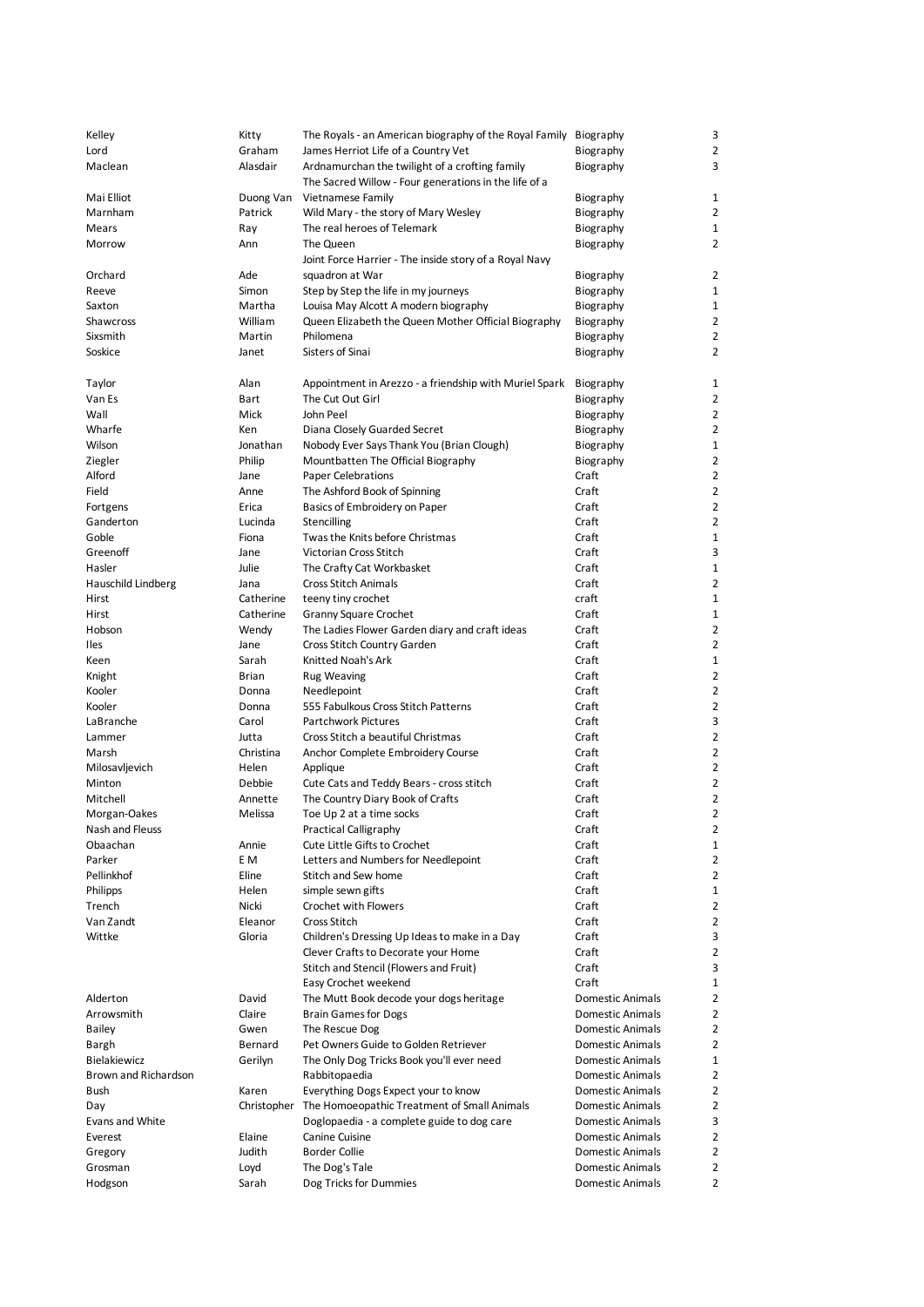| Kelley                      | Kitty     | The Royals - an American biography of the Royal Family Biography |                         | 3              |
|-----------------------------|-----------|------------------------------------------------------------------|-------------------------|----------------|
|                             |           |                                                                  |                         |                |
| Lord                        | Graham    | James Herriot Life of a Country Vet                              | Biography               | $\overline{2}$ |
| Maclean                     | Alasdair  | Ardnamurchan the twilight of a crofting family                   | Biography               | 3              |
|                             |           | The Sacred Willow - Four generations in the life of a            |                         |                |
| Mai Elliot                  | Duong Van | Vietnamese Family                                                | Biography               | $\mathbf{1}$   |
| Marnham                     | Patrick   | Wild Mary - the story of Mary Wesley                             | Biography               | 2              |
| Mears                       | Ray       | The real heroes of Telemark                                      |                         | $\mathbf{1}$   |
|                             |           |                                                                  | Biography               |                |
| Morrow                      | Ann       | The Queen                                                        | Biography               | $\overline{2}$ |
|                             |           | Joint Force Harrier - The inside story of a Royal Navy           |                         |                |
| Orchard                     | Ade       | squadron at War                                                  | Biography               | 2              |
| Reeve                       | Simon     | Step by Step the life in my journeys                             | Biography               | $\mathbf{1}$   |
| Saxton                      | Martha    | Louisa May Alcott A modern biography                             | Biography               | $\mathbf{1}$   |
|                             |           |                                                                  |                         |                |
| Shawcross                   | William   | Queen Elizabeth the Queen Mother Official Biography              | Biography               | 2              |
| Sixsmith                    | Martin    | Philomena                                                        | Biography               | $\overline{2}$ |
| Soskice                     | Janet     | Sisters of Sinai                                                 | Biography               | 2              |
|                             |           |                                                                  |                         |                |
| Taylor                      | Alan      | Appointment in Arezzo - a friendship with Muriel Spark           | Biography               | $\mathbf{1}$   |
| Van Es                      | Bart      | The Cut Out Girl                                                 | Biography               | 2              |
|                             |           |                                                                  |                         |                |
| Wall                        | Mick      | John Peel                                                        | Biography               | $\overline{2}$ |
| Wharfe                      | Ken       | Diana Closely Guarded Secret                                     | Biography               | $\overline{2}$ |
| Wilson                      | Jonathan  | Nobody Ever Says Thank You (Brian Clough)                        | Biography               | $\mathbf{1}$   |
| Ziegler                     | Philip    | Mountbatten The Official Biography                               | Biography               | $\overline{2}$ |
| Alford                      | Jane      | Paper Celebrations                                               | Craft                   | $\overline{2}$ |
| Field                       | Anne      | The Ashford Book of Spinning                                     | Craft                   | $\overline{2}$ |
|                             |           |                                                                  | Craft                   | $\overline{2}$ |
| Fortgens                    | Erica     | Basics of Embroidery on Paper                                    |                         |                |
| Ganderton                   | Lucinda   | Stencilling                                                      | Craft                   | $\overline{2}$ |
| Goble                       | Fiona     | Twas the Knits before Christmas                                  | Craft                   | 1              |
| Greenoff                    | Jane      | Victorian Cross Stitch                                           | Craft                   | 3              |
| Hasler                      | Julie     | The Crafty Cat Workbasket                                        | Craft                   | $\mathbf{1}$   |
| Hauschild Lindberg          | Jana      | <b>Cross Stitch Animals</b>                                      | Craft                   | $\overline{2}$ |
| Hirst                       | Catherine | teeny tiny crochet                                               | craft                   | $\mathbf{1}$   |
|                             |           |                                                                  |                         |                |
| Hirst                       | Catherine | Granny Square Crochet                                            | Craft                   | $\mathbf{1}$   |
| Hobson                      | Wendy     | The Ladies Flower Garden diary and craft ideas                   | Craft                   | $\overline{2}$ |
| <b>Iles</b>                 | Jane      | Cross Stitch Country Garden                                      | Craft                   | $\overline{2}$ |
| Keen                        | Sarah     | Knitted Noah's Ark                                               | Craft                   | $\mathbf{1}$   |
| Knight                      | Brian     | <b>Rug Weaving</b>                                               | Craft                   | 2              |
| Kooler                      | Donna     | Needlepoint                                                      | Craft                   | $\overline{2}$ |
|                             |           |                                                                  |                         | $\overline{2}$ |
| Kooler                      | Donna     | 555 Fabulkous Cross Stitch Patterns                              | Craft                   |                |
| LaBranche                   | Carol     | <b>Partchwork Pictures</b>                                       | Craft                   | 3              |
| Lammer                      | Jutta     | Cross Stitch a beautiful Christmas                               | Craft                   | $\overline{2}$ |
| Marsh                       | Christina | Anchor Complete Embroidery Course                                | Craft                   | $\overline{2}$ |
| Milosavljevich              | Helen     | Applique                                                         | Craft                   | $\overline{2}$ |
| Minton                      | Debbie    | Cute Cats and Teddy Bears - cross stitch                         | Craft                   | $\overline{2}$ |
| Mitchell                    | Annette   | The Country Diary Book of Crafts                                 | Craft                   | $\overline{2}$ |
|                             |           |                                                                  | Craft                   | $\overline{2}$ |
| Morgan-Oakes                | Melissa   | Toe Up 2 at a time socks                                         |                         |                |
| Nash and Fleuss             |           | <b>Practical Calligraphy</b>                                     | Craft                   | 2              |
| Obaachan                    | Annie     | Cute Little Gifts to Crochet                                     | Craft                   | 1              |
| Parker                      | E M       | Letters and Numbers for Needlepoint                              | Craft                   | $\overline{2}$ |
| Pellinkhof                  | Eline     | Stitch and Sew home                                              | Craft                   | 2              |
| Philipps                    | Helen     | simple sewn gifts                                                | Craft                   | $\mathbf{1}$   |
| Trench                      | Nicki     | Crochet with Flowers                                             | Craft                   | $\overline{2}$ |
|                             | Eleanor   |                                                                  |                         |                |
| Van Zandt                   |           | Cross Stitch                                                     | Craft                   | 2              |
| Wittke                      | Gloria    | Children's Dressing Up Ideas to make in a Day                    | Craft                   | 3              |
|                             |           | Clever Crafts to Decorate your Home                              | Craft                   | $\overline{2}$ |
|                             |           | Stitch and Stencil (Flowers and Fruit)                           | Craft                   | 3              |
|                             |           | Easy Crochet weekend                                             | Craft                   | 1              |
| Alderton                    | David     | The Mutt Book decode your dogs heritage                          | <b>Domestic Animals</b> | $\overline{2}$ |
| Arrowsmith                  | Claire    | <b>Brain Games for Dogs</b>                                      | <b>Domestic Animals</b> | 2              |
|                             |           |                                                                  |                         |                |
| Bailey                      | Gwen      | The Rescue Dog                                                   | Domestic Animals        | $\overline{2}$ |
| Bargh                       | Bernard   | Pet Owners Guide to Golden Retriever                             | Domestic Animals        | $\overline{2}$ |
| Bielakiewicz                | Gerilyn   | The Only Dog Tricks Book you'll ever need                        | Domestic Animals        | 1              |
| <b>Brown and Richardson</b> |           | Rabbitopaedia                                                    | <b>Domestic Animals</b> | $\overline{2}$ |
| Bush                        | Karen     | Everything Dogs Expect your to know                              | <b>Domestic Animals</b> | $\overline{2}$ |
| Day                         |           | Christopher The Homoeopathic Treatment of Small Animals          | Domestic Animals        | 2              |
|                             |           |                                                                  |                         |                |
| Evans and White             |           | Doglopaedia - a complete guide to dog care                       | Domestic Animals        | 3              |
| Everest                     | Elaine    | Canine Cuisine                                                   | Domestic Animals        | 2              |
| Gregory                     | Judith    | <b>Border Collie</b>                                             | <b>Domestic Animals</b> | $\overline{2}$ |
| Grosman                     | Loyd      | The Dog's Tale                                                   | <b>Domestic Animals</b> | $\overline{2}$ |
| Hodgson                     | Sarah     | Dog Tricks for Dummies                                           | <b>Domestic Animals</b> | 2              |
|                             |           |                                                                  |                         |                |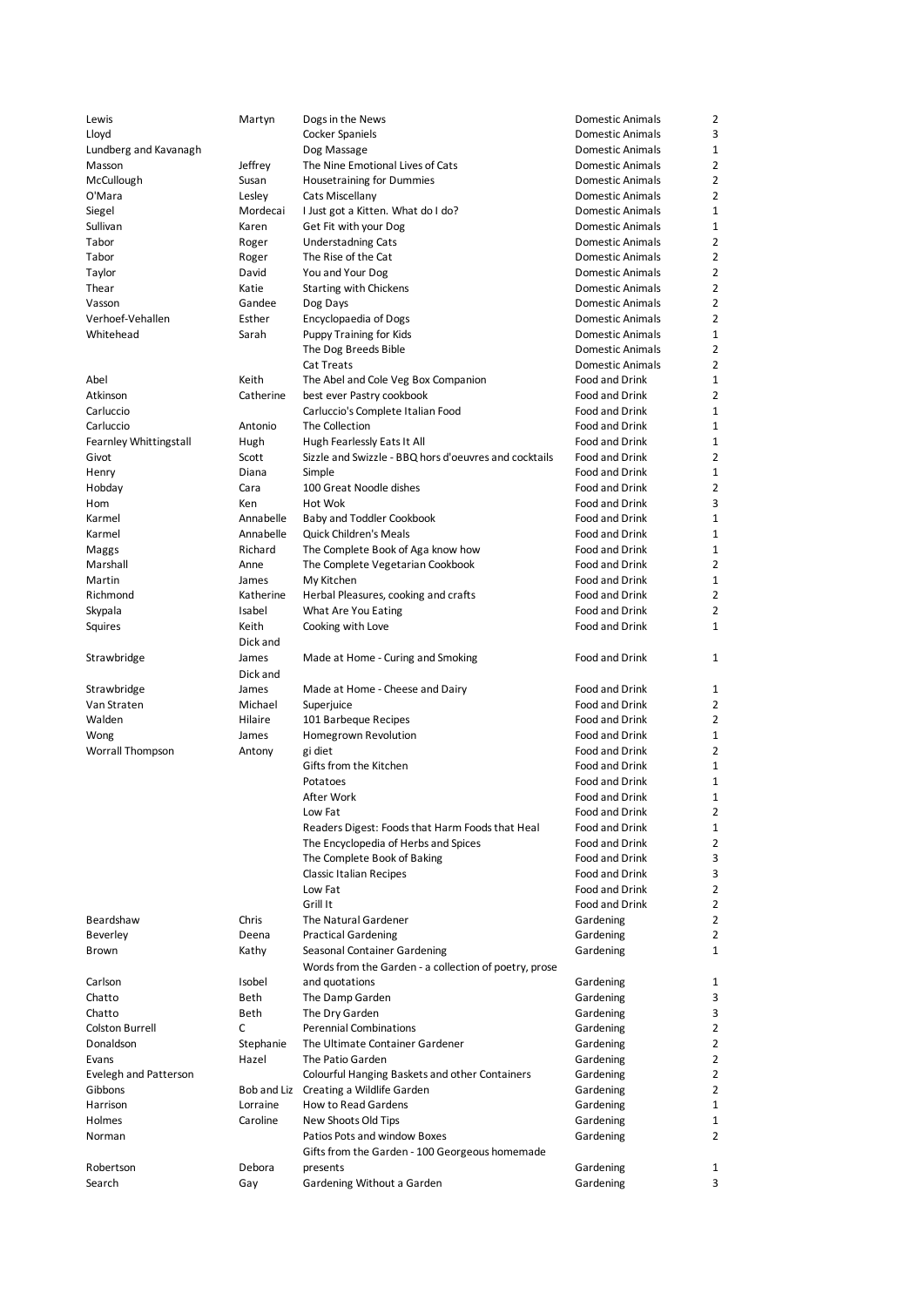| Lewis                  | Martyn        | Dogs in the News                                      | Domestic Animals        | 2              |
|------------------------|---------------|-------------------------------------------------------|-------------------------|----------------|
| Lloyd                  |               | Cocker Spaniels                                       | Domestic Animals        | 3              |
| Lundberg and Kavanagh  |               | Dog Massage                                           | Domestic Animals        | 1              |
| Masson                 | Jeffrey       | The Nine Emotional Lives of Cats                      | <b>Domestic Animals</b> | $\overline{2}$ |
|                        |               |                                                       |                         |                |
| McCullough             | Susan         | <b>Housetraining for Dummies</b>                      | Domestic Animals        | 2              |
| O'Mara                 | Lesley        | Cats Miscellany                                       | <b>Domestic Animals</b> | 2              |
| Siegel                 | Mordecai      | I Just got a Kitten. What do I do?                    | Domestic Animals        | $\mathbf{1}$   |
| Sullivan               | Karen         | Get Fit with your Dog                                 | Domestic Animals        | 1              |
| Tabor                  | Roger         | <b>Understadning Cats</b>                             | Domestic Animals        | 2              |
| Tabor                  | Roger         | The Rise of the Cat                                   | Domestic Animals        | 2              |
| Taylor                 | David         | You and Your Dog                                      | Domestic Animals        | 2              |
| Thear                  | Katie         | <b>Starting with Chickens</b>                         | Domestic Animals        | $\overline{2}$ |
| Vasson                 | Gandee        | Dog Days                                              | <b>Domestic Animals</b> | $\overline{2}$ |
| Verhoef-Vehallen       | Esther        | Encyclopaedia of Dogs                                 | Domestic Animals        | 2              |
| Whitehead              | Sarah         | Puppy Training for Kids                               | Domestic Animals        | 1              |
|                        |               | The Dog Breeds Bible                                  | Domestic Animals        | $\overline{2}$ |
|                        |               | Cat Treats                                            | Domestic Animals        | 2              |
|                        |               |                                                       |                         |                |
| Abel                   | Keith         | The Abel and Cole Veg Box Companion                   | Food and Drink          | 1              |
| Atkinson               | Catherine     | best ever Pastry cookbook                             | Food and Drink          | $\overline{2}$ |
| Carluccio              |               | Carluccio's Complete Italian Food                     | Food and Drink          | 1              |
| Carluccio              | Antonio       | The Collection                                        | Food and Drink          | 1              |
| Fearnley Whittingstall | Hugh          | Hugh Fearlessly Eats It All                           | Food and Drink          | 1              |
| Givot                  | Scott         | Sizzle and Swizzle - BBQ hors d'oeuvres and cocktails | Food and Drink          | 2              |
| Henry                  | Diana         | Simple                                                | Food and Drink          | 1              |
| Hobday                 | Cara          | 100 Great Noodle dishes                               | Food and Drink          | 2              |
| Hom                    | Ken           | Hot Wok                                               | Food and Drink          | 3              |
| Karmel                 | Annabelle     | Baby and Toddler Cookbook                             | Food and Drink          | 1              |
| Karmel                 | Annabelle     | <b>Quick Children's Meals</b>                         | Food and Drink          | 1              |
| Maggs                  | Richard       | The Complete Book of Aga know how                     | Food and Drink          | 1              |
| Marshall               | Anne          |                                                       | Food and Drink          | 2              |
|                        |               | The Complete Vegetarian Cookbook                      |                         |                |
| Martin                 | James         | My Kitchen                                            | Food and Drink          | 1              |
| Richmond               | Katherine     | Herbal Pleasures, cooking and crafts                  | Food and Drink          | $\overline{2}$ |
| Skypala                | Isabel        | What Are You Eating                                   | Food and Drink          | $\overline{2}$ |
| Squires                | Keith         | Cooking with Love                                     | Food and Drink          | 1              |
|                        | Dick and      |                                                       |                         |                |
| Strawbridge            | James         | Made at Home - Curing and Smoking                     | Food and Drink          | 1              |
|                        | Dick and      |                                                       |                         |                |
| Strawbridge            | James         | Made at Home - Cheese and Dairy                       | Food and Drink          | 1              |
| Van Straten            | Michael       | Superjuice                                            | Food and Drink          | 2              |
| Walden                 | Hilaire       | 101 Barbeque Recipes                                  | Food and Drink          | 2              |
| Wong                   | James         | Homegrown Revolution                                  | Food and Drink          | 1              |
| Worrall Thompson       | Antony        | gi diet                                               | Food and Drink          | 2              |
|                        |               | Gifts from the Kitchen                                | Food and Drink          | 1              |
|                        |               | Potatoes                                              |                         |                |
|                        |               |                                                       | Food and Drink          | 1              |
|                        |               | After Work                                            | Food and Drink          | 1              |
|                        |               | Low Fat                                               | Food and Drink          | 2              |
|                        |               | Readers Digest: Foods that Harm Foods that Heal       | Food and Drink          | 1              |
|                        |               | The Encyclopedia of Herbs and Spices                  | Food and Drink          | $\overline{2}$ |
|                        |               | The Complete Book of Baking                           | Food and Drink          | 3              |
|                        |               | <b>Classic Italian Recipes</b>                        | Food and Drink          | 3              |
|                        |               | Low Fat                                               | Food and Drink          | $\overline{2}$ |
|                        |               | Grill It                                              | Food and Drink          | 2              |
| Beardshaw              | Chris         | The Natural Gardener                                  | Gardening               | 2              |
| Beverley               | Deena         | <b>Practical Gardening</b>                            | Gardening               | $\overline{2}$ |
| Brown                  | Kathy         | Seasonal Container Gardening                          | Gardening               | 1              |
|                        |               | Words from the Garden - a collection of poetry, prose |                         |                |
| Carlson                | Isobel        | and quotations                                        | Gardening               | 1              |
|                        |               |                                                       |                         |                |
| Chatto                 | Beth          | The Damp Garden                                       | Gardening               | 3              |
| Chatto                 | Beth          | The Dry Garden                                        | Gardening               | 3              |
| Colston Burrell        | C             | <b>Perennial Combinations</b>                         | Gardening               | $\overline{2}$ |
| Donaldson              | Stephanie     | The Ultimate Container Gardener                       | Gardening               | $\overline{2}$ |
| Evans                  | Hazel         | The Patio Garden                                      | Gardening               | $\overline{2}$ |
| Evelegh and Patterson  |               | Colourful Hanging Baskets and other Containers        | Gardening               | 2              |
| Gibbons                |               | Bob and Liz Creating a Wildlife Garden                | Gardening               | $\overline{2}$ |
| Harrison               | Lorraine      | <b>How to Read Gardens</b>                            | Gardening               | $\mathbf{1}$   |
| Holmes                 |               |                                                       |                         |                |
|                        | Caroline      | New Shoots Old Tips                                   | Gardening               | 1              |
| Norman                 |               | Patios Pots and window Boxes                          | Gardening               | 2              |
|                        |               |                                                       |                         |                |
|                        |               | Gifts from the Garden - 100 Georgeous homemade        |                         |                |
| Robertson<br>Search    | Debora<br>Gay | presents<br>Gardening Without a Garden                | Gardening<br>Gardening  | 1<br>3         |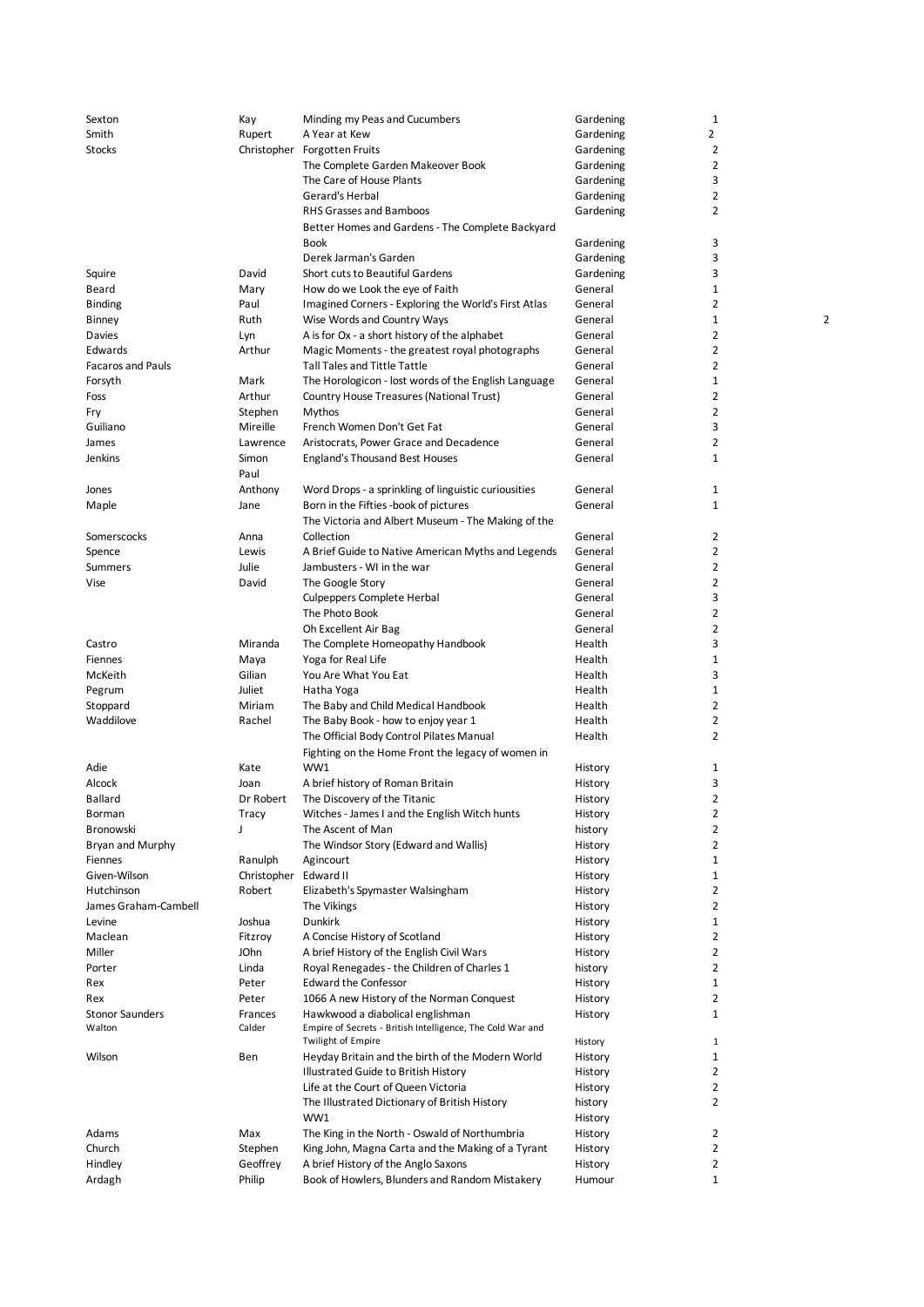| Sexton                   | Kay         | Minding my Peas and Cucumbers                              | Gardening | $\mathbf{1}$   |
|--------------------------|-------------|------------------------------------------------------------|-----------|----------------|
| Smith                    | Rupert      | A Year at Kew                                              | Gardening | $\overline{2}$ |
| Stocks                   |             | Christopher Forgotten Fruits                               | Gardening | $\overline{2}$ |
|                          |             | The Complete Garden Makeover Book                          | Gardening | $\overline{2}$ |
|                          |             | The Care of House Plants                                   | Gardening | 3              |
|                          |             | Gerard's Herbal                                            | Gardening | $\overline{2}$ |
|                          |             | <b>RHS Grasses and Bamboos</b>                             | Gardening | $\overline{2}$ |
|                          |             | Better Homes and Gardens - The Complete Backyard           |           |                |
|                          |             | <b>Book</b>                                                | Gardening | 3              |
|                          |             | Derek Jarman's Garden                                      | Gardening | 3              |
| Squire                   | David       | Short cuts to Beautiful Gardens                            | Gardening | 3              |
| Beard                    |             | How do we Look the eye of Faith                            | General   | $\mathbf{1}$   |
|                          | Mary        |                                                            |           | $\overline{2}$ |
| <b>Binding</b>           | Paul        | Imagined Corners - Exploring the World's First Atlas       | General   | $\mathbf{1}$   |
| Binney                   | Ruth        | Wise Words and Country Ways                                | General   |                |
| Davies                   | Lyn         | A is for Ox - a short history of the alphabet              | General   | 2              |
| Edwards                  | Arthur      | Magic Moments - the greatest royal photographs             | General   | 2              |
| <b>Facaros and Pauls</b> |             | <b>Tall Tales and Tittle Tattle</b>                        | General   | $\overline{2}$ |
| Forsyth                  | Mark        | The Horologicon - lost words of the English Language       | General   | $\mathbf{1}$   |
| Foss                     | Arthur      | Country House Treasures (National Trust)                   | General   | $\overline{2}$ |
| Fry                      | Stephen     | Mythos                                                     | General   | $\overline{2}$ |
| Guiliano                 | Mireille    | French Women Don't Get Fat                                 | General   | 3              |
| James                    | Lawrence    | Aristocrats, Power Grace and Decadence                     | General   | 2              |
| Jenkins                  | Simon       | <b>England's Thousand Best Houses</b>                      | General   | $\mathbf{1}$   |
|                          | Paul        |                                                            |           |                |
| Jones                    | Anthony     | Word Drops - a sprinkling of linguistic curiousities       | General   | $\mathbf{1}$   |
|                          |             | Born in the Fifties -book of pictures                      | General   | $\mathbf{1}$   |
| Maple                    | Jane        |                                                            |           |                |
|                          |             | The Victoria and Albert Museum - The Making of the         |           |                |
| Somerscocks              | Anna        | Collection                                                 | General   | 2              |
| Spence                   | Lewis       | A Brief Guide to Native American Myths and Legends         | General   | $\overline{2}$ |
| Summers                  | Julie       | Jambusters - WI in the war                                 | General   | $\overline{2}$ |
| Vise                     | David       | The Google Story                                           | General   | $\overline{2}$ |
|                          |             | Culpeppers Complete Herbal                                 | General   | 3              |
|                          |             | The Photo Book                                             | General   | $\overline{2}$ |
|                          |             | Oh Excellent Air Bag                                       | General   | 2              |
| Castro                   | Miranda     | The Complete Homeopathy Handbook                           | Health    | 3              |
| Fiennes                  | Maya        | Yoga for Real Life                                         | Health    | $\mathbf{1}$   |
| McKeith                  | Gilian      | You Are What You Eat                                       | Health    | 3              |
| Pegrum                   | Juliet      | Hatha Yoga                                                 | Health    | $\mathbf{1}$   |
|                          | Miriam      |                                                            | Health    | 2              |
| Stoppard                 |             | The Baby and Child Medical Handbook                        |           |                |
| Waddilove                | Rachel      | The Baby Book - how to enjoy year 1                        | Health    | 2              |
|                          |             | The Official Body Control Pilates Manual                   | Health    | $\overline{2}$ |
|                          |             | Fighting on the Home Front the legacy of women in          |           |                |
| Adie                     | Kate        | WW1                                                        | History   | $\mathbf{1}$   |
| Alcock                   | Joan        | A brief history of Roman Britain                           | History   | 3              |
| Ballard                  | Dr Robert   | The Discovery of the Titanic                               | History   | 2              |
| Borman                   | Tracy       | Witches - James I and the English Witch hunts              | History   | 2              |
| Bronowski                | J           | The Ascent of Man                                          | history   | $\overline{2}$ |
| Bryan and Murphy         |             | The Windsor Story (Edward and Wallis)                      | History   | $\overline{2}$ |
| Fiennes                  | Ranulph     | Agincourt                                                  | History   | $\mathbf{1}$   |
| Given-Wilson             | Christopher | Edward II                                                  | History   | $\mathbf{1}$   |
| Hutchinson               | Robert      | Elizabeth's Spymaster Walsingham                           | History   | $\overline{2}$ |
| James Graham-Cambell     |             | The Vikings                                                | History   | $\overline{2}$ |
|                          | Joshua      | <b>Dunkirk</b>                                             |           | $\mathbf{1}$   |
| Levine                   |             |                                                            | History   |                |
| Maclean                  | Fitzroy     | A Concise History of Scotland                              | History   | $\overline{2}$ |
| Miller                   | JOhn        | A brief History of the English Civil Wars                  | History   | $\overline{2}$ |
| Porter                   | Linda       | Royal Renegades - the Children of Charles 1                | history   | $\overline{2}$ |
| Rex                      | Peter       | <b>Edward the Confessor</b>                                | History   | $\mathbf{1}$   |
| Rex                      | Peter       | 1066 A new History of the Norman Conquest                  | History   | $\overline{2}$ |
| <b>Stonor Saunders</b>   | Frances     | Hawkwood a diabolical englishman                           | History   | $\mathbf{1}$   |
| Walton                   | Calder      | Empire of Secrets - British Intelligence, The Cold War and |           |                |
|                          |             | <b>Twilight of Empire</b>                                  | History   | 1              |
| Wilson                   | Ben         | Heyday Britain and the birth of the Modern World           | History   | $\mathbf{1}$   |
|                          |             | Illustrated Guide to British History                       | History   | $\overline{2}$ |
|                          |             | Life at the Court of Queen Victoria                        | History   | $\overline{2}$ |
|                          |             | The Illustrated Dictionary of British History              | history   | $\overline{2}$ |
|                          |             | WW1                                                        | History   |                |
| Adams                    | Max         | The King in the North - Oswald of Northumbria              | History   | 2              |
| Church                   | Stephen     | King John, Magna Carta and the Making of a Tyrant          | History   | $\overline{2}$ |
| Hindley                  | Geoffrey    | A brief History of the Anglo Saxons                        | History   | $\overline{2}$ |
| Ardagh                   | Philip      | Book of Howlers, Blunders and Random Mistakery             | Humour    | $\mathbf{1}$   |
|                          |             |                                                            |           |                |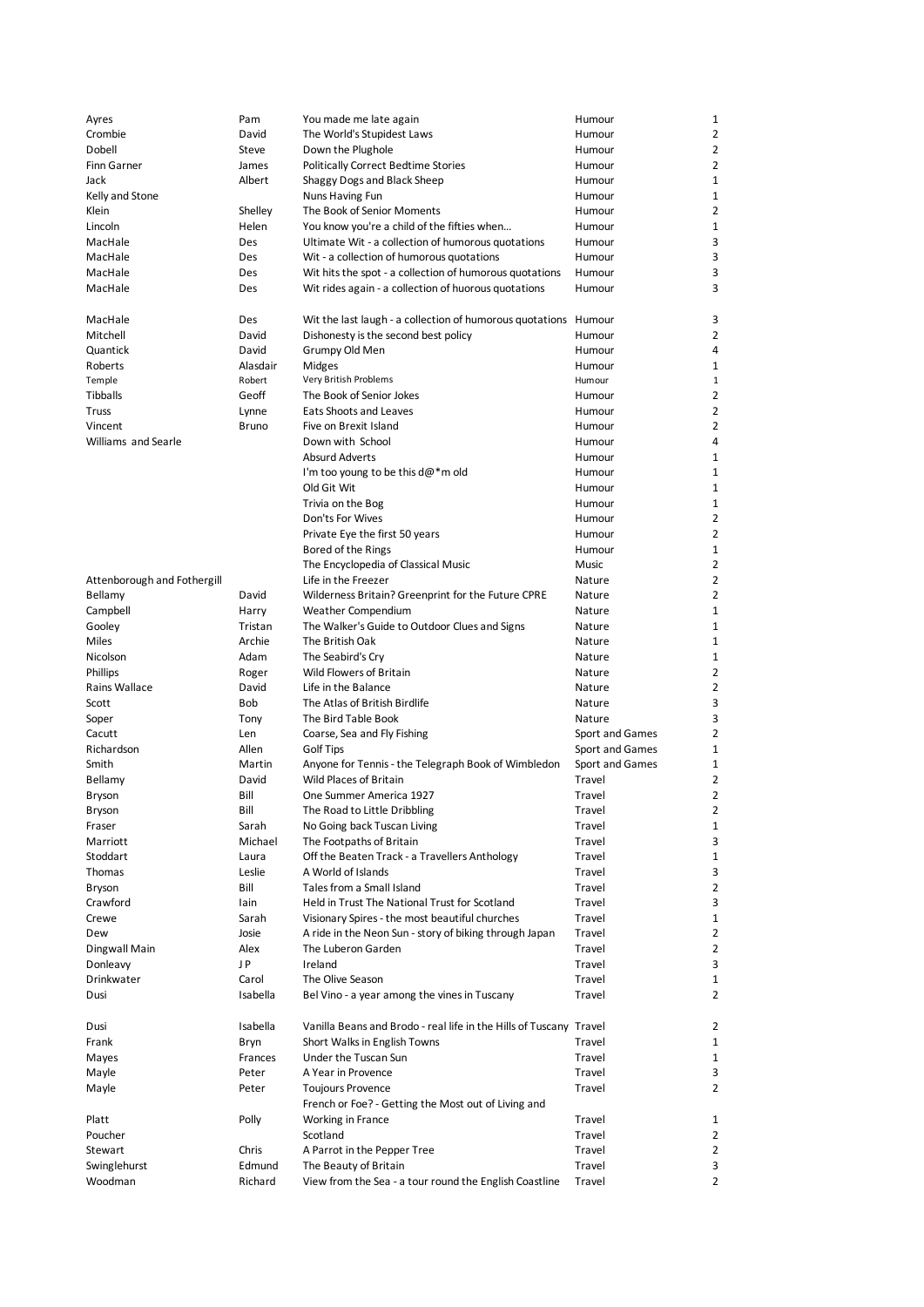| Ayres                       | Pam      | You made me late again                                             | Humour          | 1              |
|-----------------------------|----------|--------------------------------------------------------------------|-----------------|----------------|
| Crombie                     | David    | The World's Stupidest Laws                                         | Humour          | 2              |
| Dobell                      | Steve    | Down the Plughole                                                  | Humour          | $\overline{2}$ |
| Finn Garner                 | James    | <b>Politically Correct Bedtime Stories</b>                         | Humour          | 2              |
| Jack                        | Albert   | Shaggy Dogs and Black Sheep                                        | Humour          | 1              |
| Kelly and Stone             |          | Nuns Having Fun                                                    | Humour          | 1              |
| Klein                       | Shelley  | The Book of Senior Moments                                         | Humour          | 2              |
| Lincoln                     | Helen    | You know you're a child of the fifties when                        | Humour          | 1              |
| MacHale                     | Des      | Ultimate Wit - a collection of humorous quotations                 | Humour          | 3              |
|                             |          |                                                                    |                 |                |
| MacHale<br>MacHale          | Des      | Wit - a collection of humorous quotations                          | Humour          | 3              |
|                             | Des      | Wit hits the spot - a collection of humorous quotations            | Humour          | 3              |
| MacHale                     | Des      | Wit rides again - a collection of huorous quotations               | Humour          | 3              |
| MacHale                     | Des      | Wit the last laugh - a collection of humorous quotations Humour    |                 | 3              |
| Mitchell                    | David    | Dishonesty is the second best policy                               | Humour          | 2              |
| Quantick                    | David    | Grumpy Old Men                                                     | Humour          | 4              |
|                             | Alasdair |                                                                    |                 | 1              |
| Roberts                     |          | Midges                                                             | Humour          |                |
| Temple                      | Robert   | Very British Problems                                              | Humour          | 1              |
| Tibballs                    | Geoff    | The Book of Senior Jokes                                           | Humour          | 2              |
| Truss                       | Lynne    | Eats Shoots and Leaves                                             | Humour          | 2              |
| Vincent                     | Bruno    | Five on Brexit Island                                              | Humour          | $\overline{2}$ |
| <b>Williams and Searle</b>  |          | Down with School                                                   | Humour          | 4              |
|                             |          | <b>Absurd Adverts</b>                                              | Humour          | 1              |
|                             |          | I'm too young to be this $d\omega^*$ m old                         | Humour          | 1              |
|                             |          | Old Git Wit                                                        | Humour          | 1              |
|                             |          | Trivia on the Bog                                                  | Humour          | 1              |
|                             |          | Don'ts For Wives                                                   | Humour          | 2              |
|                             |          | Private Eye the first 50 years                                     | Humour          | $\overline{2}$ |
|                             |          | Bored of the Rings                                                 | Humour          | 1              |
|                             |          | The Encyclopedia of Classical Music                                | Music           | 2              |
| Attenborough and Fothergill |          | Life in the Freezer                                                | Nature          | 2              |
| Bellamy                     | David    | Wilderness Britain? Greenprint for the Future CPRE                 | Nature          | 2              |
| Campbell                    | Harry    | Weather Compendium                                                 | Nature          | 1              |
|                             | Tristan  |                                                                    |                 | 1              |
| Gooley<br><b>Miles</b>      |          | The Walker's Guide to Outdoor Clues and Signs                      | Nature          |                |
|                             | Archie   | The British Oak                                                    | Nature          | 1              |
| Nicolson                    | Adam     | The Seabird's Cry                                                  | Nature          | 1              |
| <b>Phillips</b>             | Roger    | Wild Flowers of Britain                                            | Nature          | 2              |
| Rains Wallace               | David    | Life in the Balance                                                | Nature          | 2              |
| Scott                       | Bob      | The Atlas of British Birdlife                                      | Nature          | 3              |
| Soper                       | Tony     | The Bird Table Book                                                | Nature          | 3              |
| Cacutt                      | Len      | Coarse, Sea and Fly Fishing                                        | Sport and Games | $\overline{2}$ |
| Richardson                  | Allen    | Golf Tips                                                          | Sport and Games | 1              |
| Smith                       | Martin   | Anyone for Tennis - the Telegraph Book of Wimbledon                | Sport and Games | 1              |
| Bellamy                     | David    | <b>Wild Places of Britain</b>                                      | Travel          | 2              |
| Bryson                      | Bill     | One Summer America 1927                                            | Travel          | $\overline{2}$ |
| Bryson                      | Bill     | The Road to Little Dribbling                                       | Travel          | 2              |
| Fraser                      | Sarah    | No Going back Tuscan Living                                        | Travel          | 1              |
| Marriott                    | Michael  | The Footpaths of Britain                                           | Travel          | 3              |
| Stoddart                    | Laura    | Off the Beaten Track - a Travellers Anthology                      | Travel          | 1              |
| Thomas                      | Leslie   | A World of Islands                                                 | Travel          | 3              |
| Bryson                      | Bill     | Tales from a Small Island                                          | Travel          | $\overline{2}$ |
| Crawford                    | lain     | Held in Trust The National Trust for Scotland                      | Travel          | 3              |
| Crewe                       | Sarah    | Visionary Spires - the most beautiful churches                     | Travel          | 1              |
| Dew                         | Josie    | A ride in the Neon Sun - story of biking through Japan             | Travel          | 2              |
| Dingwall Main               | Alex     | The Luberon Garden                                                 | Travel          | 2              |
|                             | J P      | Ireland                                                            | Travel          | 3              |
| Donleavy                    |          |                                                                    |                 |                |
| Drinkwater                  | Carol    | The Olive Season                                                   | Travel          | 1              |
| Dusi                        | Isabella | Bel Vino - a year among the vines in Tuscany                       | Travel          | 2              |
| Dusi                        | Isabella | Vanilla Beans and Brodo - real life in the Hills of Tuscany Travel |                 | 2              |
| Frank                       | Bryn     | Short Walks in English Towns                                       | Travel          | 1              |
| Mayes                       | Frances  | Under the Tuscan Sun                                               | Travel          | 1              |
| Mayle                       | Peter    | A Year in Provence                                                 | Travel          | 3              |
|                             | Peter    |                                                                    | Travel          | 2              |
| Mayle                       |          | <b>Toujours Provence</b>                                           |                 |                |
|                             |          | French or Foe? - Getting the Most out of Living and                |                 |                |
| Platt                       | Polly    | Working in France                                                  | Travel          | 1              |
| Poucher                     |          | Scotland                                                           | Travel          | 2              |
| Stewart                     | Chris    | A Parrot in the Pepper Tree                                        | Travel          | 2              |
| Swinglehurst                | Edmund   | The Beauty of Britain                                              | Travel          | 3              |
| Woodman                     | Richard  | View from the Sea - a tour round the English Coastline             | Travel          | 2              |